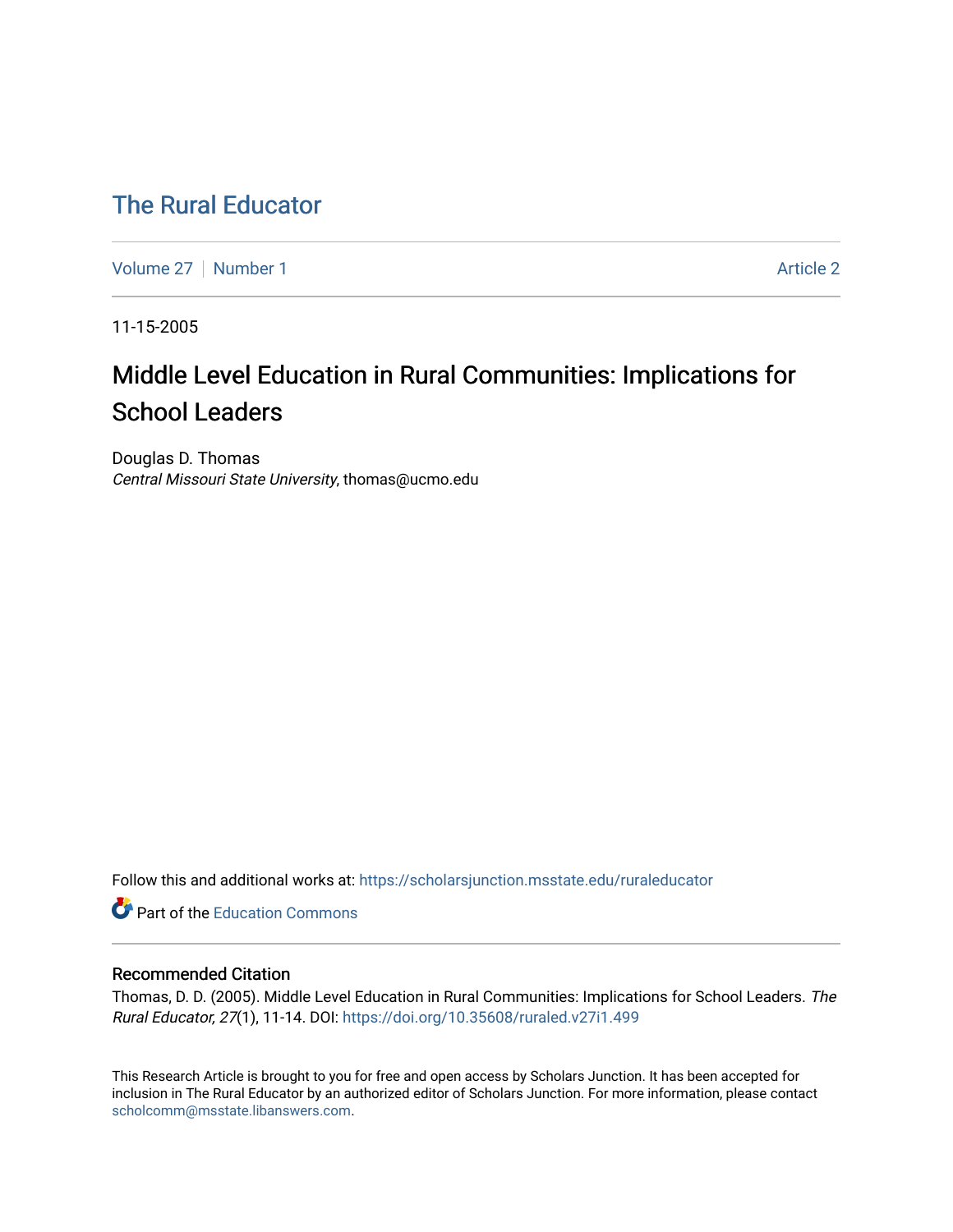# [The Rural Educator](https://scholarsjunction.msstate.edu/ruraleducator)

[Volume 27](https://scholarsjunction.msstate.edu/ruraleducator/vol27) | [Number 1](https://scholarsjunction.msstate.edu/ruraleducator/vol27/iss1) Article 2

11-15-2005

# Middle Level Education in Rural Communities: Implications for School Leaders

Douglas D. Thomas Central Missouri State University, thomas@ucmo.edu

Follow this and additional works at: [https://scholarsjunction.msstate.edu/ruraleducator](https://scholarsjunction.msstate.edu/ruraleducator?utm_source=scholarsjunction.msstate.edu%2Fruraleducator%2Fvol27%2Fiss1%2F2&utm_medium=PDF&utm_campaign=PDFCoverPages)

**C** Part of the [Education Commons](http://network.bepress.com/hgg/discipline/784?utm_source=scholarsjunction.msstate.edu%2Fruraleducator%2Fvol27%2Fiss1%2F2&utm_medium=PDF&utm_campaign=PDFCoverPages)

# Recommended Citation

Thomas, D. D. (2005). Middle Level Education in Rural Communities: Implications for School Leaders. The Rural Educator, 27(1), 11-14. DOI:<https://doi.org/10.35608/ruraled.v27i1.499>

This Research Article is brought to you for free and open access by Scholars Junction. It has been accepted for inclusion in The Rural Educator by an authorized editor of Scholars Junction. For more information, please contact [scholcomm@msstate.libanswers.com.](mailto:scholcomm@msstate.libanswers.com)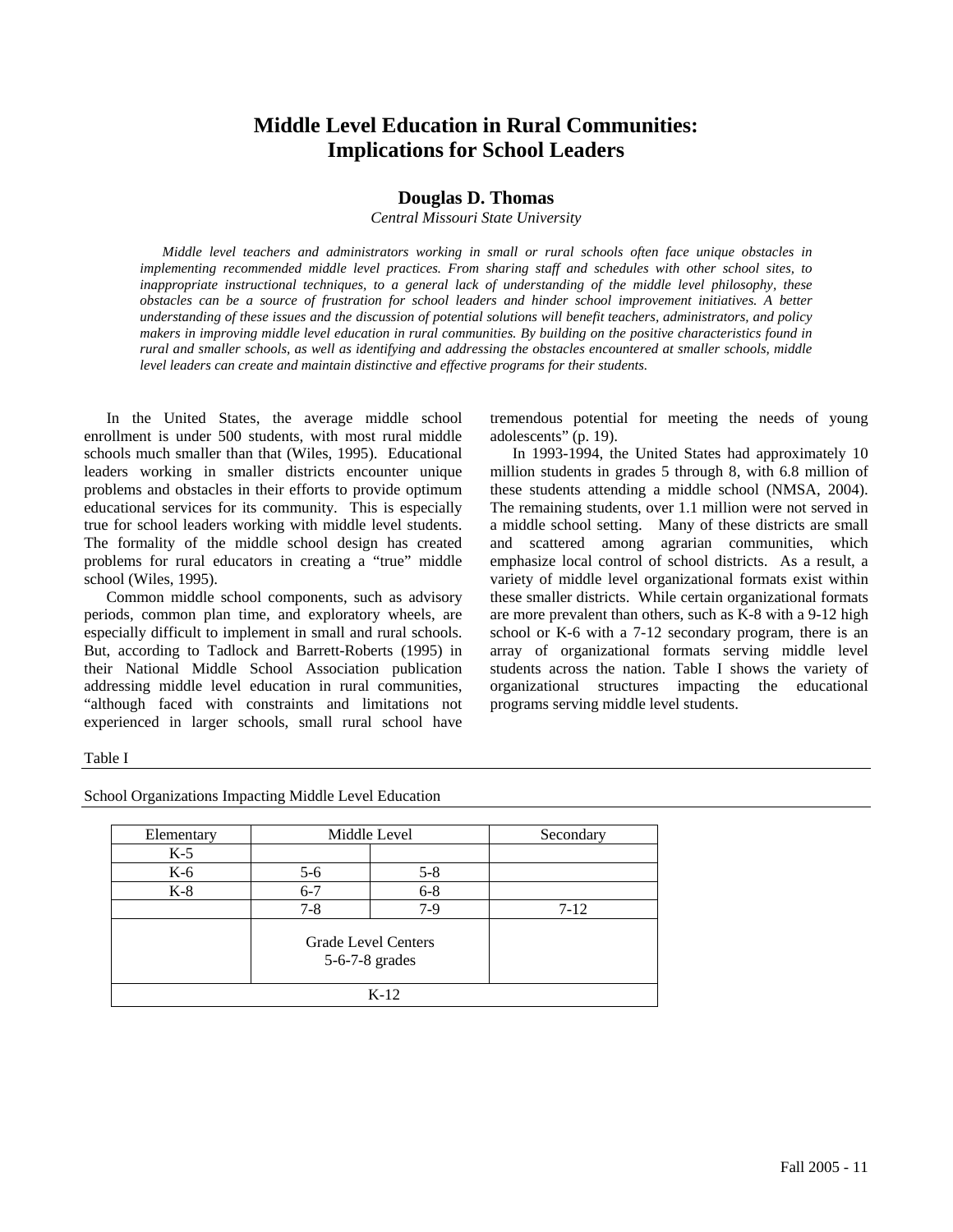# **Middle Level Education in Rural Communities: Implications for School Leaders**

# **Douglas D. Thomas**

*Central Missouri State University* 

*Middle level teachers and administrators working in small or rural schools often face unique obstacles in implementing recommended middle level practices. From sharing staff and schedules with other school sites, to inappropriate instructional techniques, to a general lack of understanding of the middle level philosophy, these obstacles can be a source of frustration for school leaders and hinder school improvement initiatives. A better understanding of these issues and the discussion of potential solutions will benefit teachers, administrators, and policy makers in improving middle level education in rural communities. By building on the positive characteristics found in rural and smaller schools, as well as identifying and addressing the obstacles encountered at smaller schools, middle level leaders can create and maintain distinctive and effective programs for their students.* 

In the United States, the average middle school enrollment is under 500 students, with most rural middle schools much smaller than that (Wiles, 1995). Educational leaders working in smaller districts encounter unique problems and obstacles in their efforts to provide optimum educational services for its community. This is especially true for school leaders working with middle level students. The formality of the middle school design has created problems for rural educators in creating a "true" middle school (Wiles, 1995).

Common middle school components, such as advisory periods, common plan time, and exploratory wheels, are especially difficult to implement in small and rural schools. But, according to Tadlock and Barrett-Roberts (1995) in their National Middle School Association publication addressing middle level education in rural communities, "although faced with constraints and limitations not experienced in larger schools, small rural school have

tremendous potential for meeting the needs of young adolescents" (p. 19).

In 1993-1994, the United States had approximately 10 million students in grades 5 through 8, with 6.8 million of these students attending a middle school (NMSA, 2004). The remaining students, over 1.1 million were not served in a middle school setting. Many of these districts are small and scattered among agrarian communities, which emphasize local control of school districts. As a result, a variety of middle level organizational formats exist within these smaller districts. While certain organizational formats are more prevalent than others, such as K-8 with a 9-12 high school or K-6 with a 7-12 secondary program, there is an array of organizational formats serving middle level students across the nation. Table I shows the variety of organizational structures impacting the educational organizational structures impacting programs serving middle level students.

#### Table I

| Elementary | Middle Level                                 |         | Secondary |
|------------|----------------------------------------------|---------|-----------|
| $K-5$      |                                              |         |           |
| $K-6$      | $5-6$                                        | $5 - 8$ |           |
| $K-8$      | $6 - 7$                                      | $6 - 8$ |           |
|            | $7-8$                                        | $7-9$   | $7-12$    |
|            | <b>Grade Level Centers</b><br>5-6-7-8 grades |         |           |
|            |                                              | $K-12$  |           |

School Organizations Impacting Middle Level Education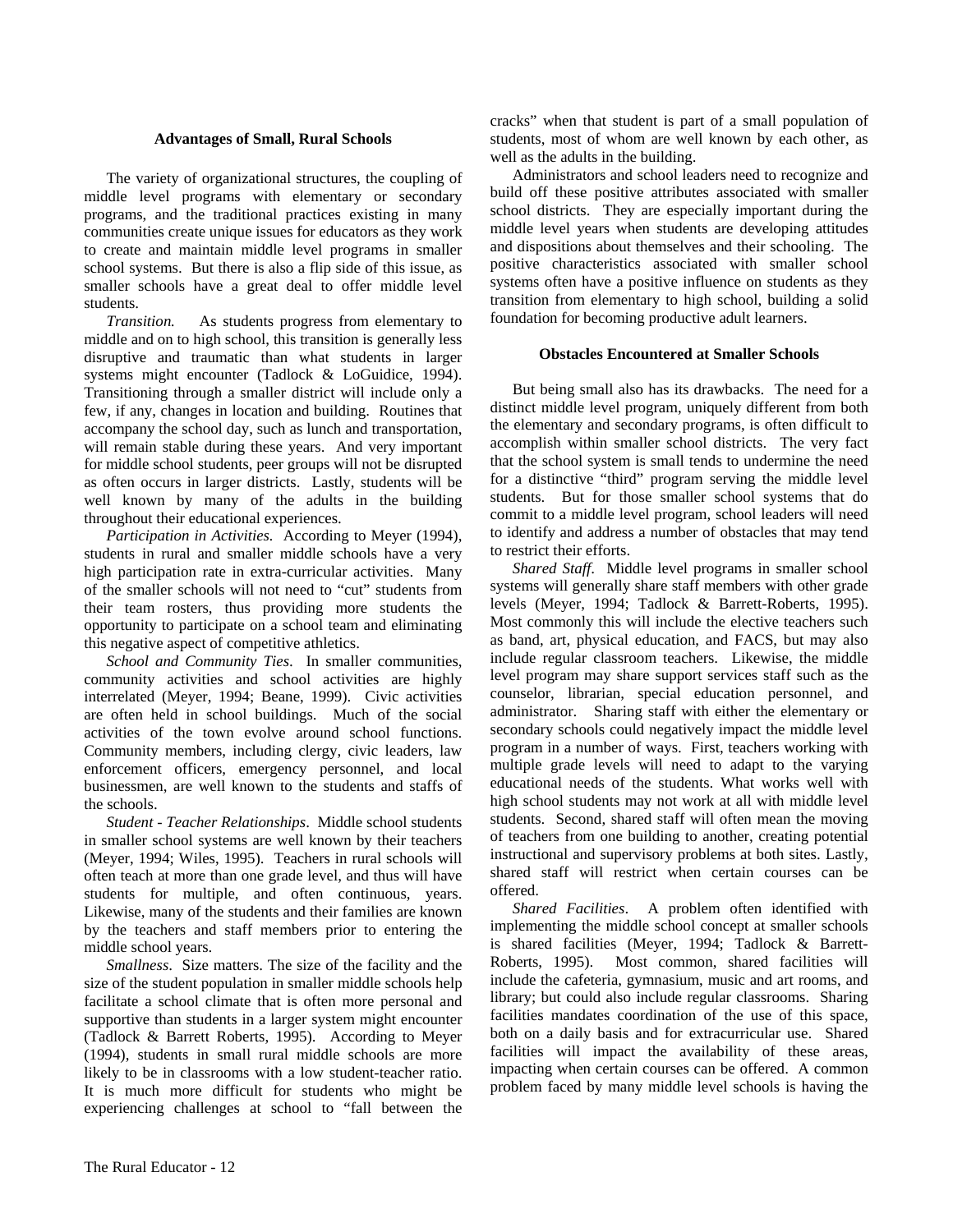## **Advantages of Small, Rural Schools**

The variety of organizational structures, the coupling of middle level programs with elementary or secondary programs, and the traditional practices existing in many communities create unique issues for educators as they work to create and maintain middle level programs in smaller school systems. But there is also a flip side of this issue, as smaller schools have a great deal to offer middle level students.

*Transition.* As students progress from elementary to middle and on to high school, this transition is generally less disruptive and traumatic than what students in larger systems might encounter (Tadlock & LoGuidice, 1994). Transitioning through a smaller district will include only a few, if any, changes in location and building. Routines that accompany the school day, such as lunch and transportation, will remain stable during these years. And very important for middle school students, peer groups will not be disrupted as often occurs in larger districts. Lastly, students will be well known by many of the adults in the building throughout their educational experiences.

*Participation in Activities.* According to Meyer (1994), students in rural and smaller middle schools have a very high participation rate in extra-curricular activities. Many of the smaller schools will not need to "cut" students from their team rosters, thus providing more students the opportunity to participate on a school team and eliminating this negative aspect of competitive athletics.

*School and Community Ties*. In smaller communities, community activities and school activities are highly interrelated (Meyer, 1994; Beane, 1999). Civic activities are often held in school buildings. Much of the social activities of the town evolve around school functions. Community members, including clergy, civic leaders, law enforcement officers, emergency personnel, and local businessmen, are well known to the students and staffs of the schools.

*Student - Teacher Relationships*. Middle school students in smaller school systems are well known by their teachers (Meyer, 1994; Wiles, 1995). Teachers in rural schools will often teach at more than one grade level, and thus will have students for multiple, and often continuous, years. Likewise, many of the students and their families are known by the teachers and staff members prior to entering the middle school years.

*Smallness*. Size matters. The size of the facility and the size of the student population in smaller middle schools help facilitate a school climate that is often more personal and supportive than students in a larger system might encounter (Tadlock & Barrett Roberts, 1995). According to Meyer (1994), students in small rural middle schools are more likely to be in classrooms with a low student-teacher ratio. It is much more difficult for students who might be experiencing challenges at school to "fall between the cracks" when that student is part of a small population of students, most of whom are well known by each other, as well as the adults in the building.

Administrators and school leaders need to recognize and build off these positive attributes associated with smaller school districts. They are especially important during the middle level years when students are developing attitudes and dispositions about themselves and their schooling. The positive characteristics associated with smaller school systems often have a positive influence on students as they transition from elementary to high school, building a solid foundation for becoming productive adult learners.

# **Obstacles Encountered at Smaller Schools**

But being small also has its drawbacks. The need for a distinct middle level program, uniquely different from both the elementary and secondary programs, is often difficult to accomplish within smaller school districts. The very fact that the school system is small tends to undermine the need for a distinctive "third" program serving the middle level students. But for those smaller school systems that do commit to a middle level program, school leaders will need to identify and address a number of obstacles that may tend to restrict their efforts.

*Shared Staff*. Middle level programs in smaller school systems will generally share staff members with other grade levels (Meyer, 1994; Tadlock & Barrett-Roberts, 1995). Most commonly this will include the elective teachers such as band, art, physical education, and FACS, but may also include regular classroom teachers. Likewise, the middle level program may share support services staff such as the counselor, librarian, special education personnel, and administrator. Sharing staff with either the elementary or secondary schools could negatively impact the middle level program in a number of ways. First, teachers working with multiple grade levels will need to adapt to the varying educational needs of the students. What works well with high school students may not work at all with middle level students. Second, shared staff will often mean the moving of teachers from one building to another, creating potential instructional and supervisory problems at both sites. Lastly, shared staff will restrict when certain courses can be offered.

*Shared Facilities*. A problem often identified with implementing the middle school concept at smaller schools is shared facilities (Meyer, 1994; Tadlock & Barrett-Roberts, 1995). Most common, shared facilities will include the cafeteria, gymnasium, music and art rooms, and library; but could also include regular classrooms. Sharing facilities mandates coordination of the use of this space, both on a daily basis and for extracurricular use. Shared facilities will impact the availability of these areas, impacting when certain courses can be offered. A common problem faced by many middle level schools is having the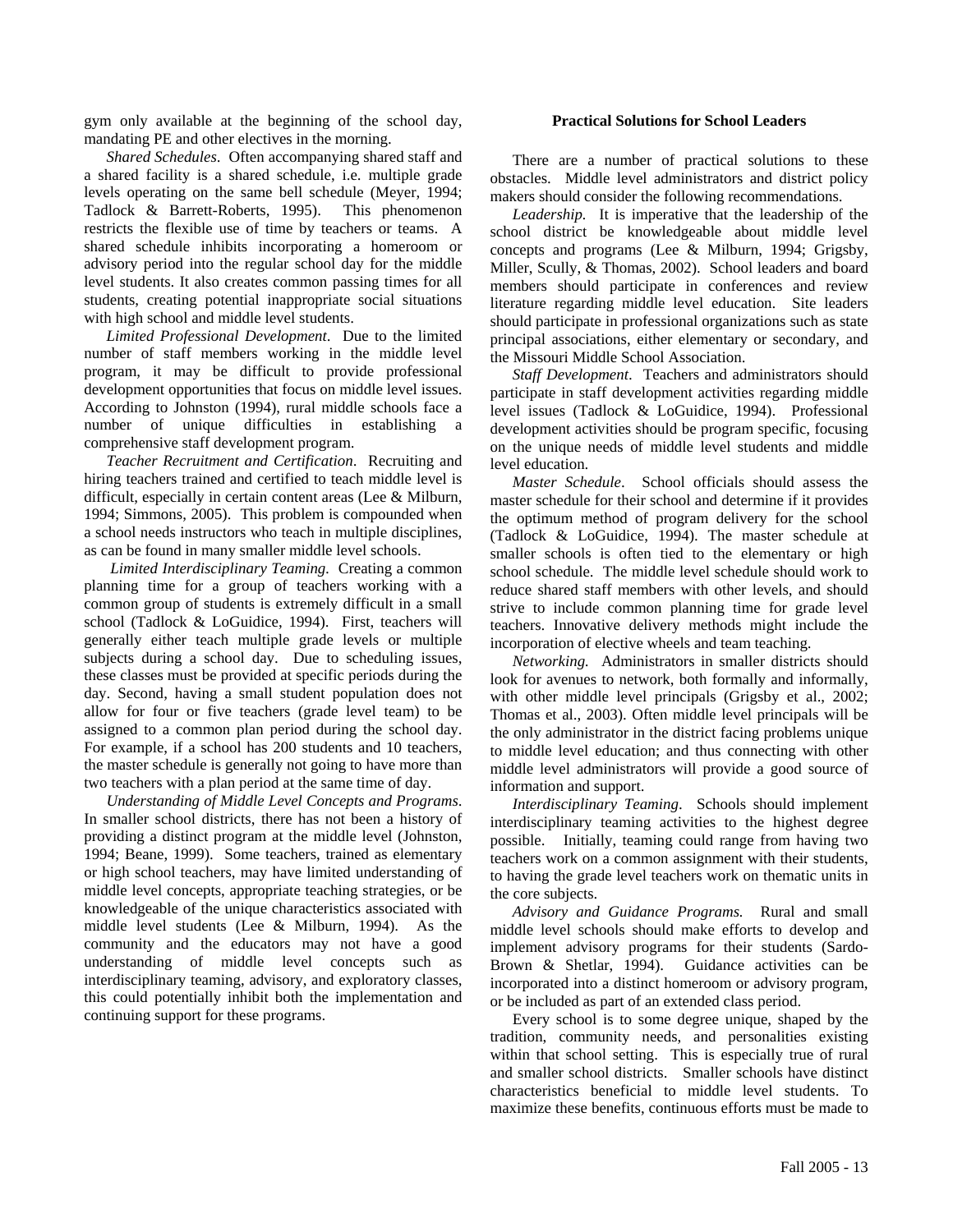gym only available at the beginning of the school day, mandating PE and other electives in the morning.

*Shared Schedules*. Often accompanying shared staff and a shared facility is a shared schedule, i.e. multiple grade levels operating on the same bell schedule (Meyer, 1994; Tadlock & Barrett-Roberts, 1995). This phenomenon restricts the flexible use of time by teachers or teams. A shared schedule inhibits incorporating a homeroom or advisory period into the regular school day for the middle level students. It also creates common passing times for all students, creating potential inappropriate social situations with high school and middle level students.

*Limited Professional Development*. Due to the limited number of staff members working in the middle level program, it may be difficult to provide professional development opportunities that focus on middle level issues. According to Johnston (1994), rural middle schools face a number of unique difficulties in establishing a comprehensive staff development program.

*Teacher Recruitment and Certification*. Recruiting and hiring teachers trained and certified to teach middle level is difficult, especially in certain content areas (Lee & Milburn, 1994; Simmons, 2005). This problem is compounded when a school needs instructors who teach in multiple disciplines, as can be found in many smaller middle level schools.

 *Limited Interdisciplinary Teaming.* Creating a common planning time for a group of teachers working with a common group of students is extremely difficult in a small school (Tadlock & LoGuidice, 1994). First, teachers will generally either teach multiple grade levels or multiple subjects during a school day. Due to scheduling issues, these classes must be provided at specific periods during the day. Second, having a small student population does not allow for four or five teachers (grade level team) to be assigned to a common plan period during the school day. For example, if a school has 200 students and 10 teachers, the master schedule is generally not going to have more than two teachers with a plan period at the same time of day.

*Understanding of Middle Level Concepts and Programs*. In smaller school districts, there has not been a history of providing a distinct program at the middle level (Johnston, 1994; Beane, 1999). Some teachers, trained as elementary or high school teachers, may have limited understanding of middle level concepts, appropriate teaching strategies, or be knowledgeable of the unique characteristics associated with middle level students (Lee & Milburn, 1994). As the community and the educators may not have a good understanding of middle level concepts such as interdisciplinary teaming, advisory, and exploratory classes, this could potentially inhibit both the implementation and continuing support for these programs.

### **Practical Solutions for School Leaders**

There are a number of practical solutions to these obstacles. Middle level administrators and district policy makers should consider the following recommendations.

*Leadership.* It is imperative that the leadership of the school district be knowledgeable about middle level concepts and programs (Lee & Milburn, 1994; Grigsby, Miller, Scully, & Thomas, 2002). School leaders and board members should participate in conferences and review literature regarding middle level education. Site leaders should participate in professional organizations such as state principal associations, either elementary or secondary, and the Missouri Middle School Association.

*Staff Development*. Teachers and administrators should participate in staff development activities regarding middle level issues (Tadlock & LoGuidice, 1994). Professional development activities should be program specific, focusing on the unique needs of middle level students and middle level education.

*Master Schedule*. School officials should assess the master schedule for their school and determine if it provides the optimum method of program delivery for the school (Tadlock & LoGuidice, 1994). The master schedule at smaller schools is often tied to the elementary or high school schedule. The middle level schedule should work to reduce shared staff members with other levels, and should strive to include common planning time for grade level teachers. Innovative delivery methods might include the incorporation of elective wheels and team teaching.

*Networking.* Administrators in smaller districts should look for avenues to network, both formally and informally, with other middle level principals (Grigsby et al., 2002; Thomas et al., 2003). Often middle level principals will be the only administrator in the district facing problems unique to middle level education; and thus connecting with other middle level administrators will provide a good source of information and support.

*Interdisciplinary Teaming*. Schools should implement interdisciplinary teaming activities to the highest degree possible. Initially, teaming could range from having two teachers work on a common assignment with their students, to having the grade level teachers work on thematic units in the core subjects.

*Advisory and Guidance Programs.* Rural and small middle level schools should make efforts to develop and implement advisory programs for their students (Sardo-Brown & Shetlar, 1994). Guidance activities can be incorporated into a distinct homeroom or advisory program, or be included as part of an extended class period.

Every school is to some degree unique, shaped by the tradition, community needs, and personalities existing within that school setting. This is especially true of rural and smaller school districts. Smaller schools have distinct characteristics beneficial to middle level students. To maximize these benefits, continuous efforts must be made to